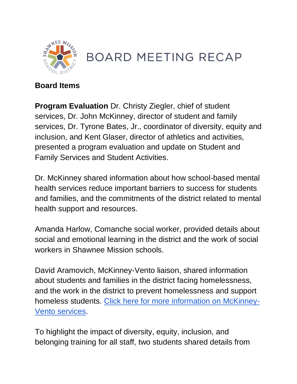

## **BOARD MEETING RECAP**

## **Board Items**

**Program Evaluation** Dr. Christy Ziegler, chief of student services, Dr. John McKinney, director of student and family services, Dr. Tyrone Bates, Jr., coordinator of diversity, equity and inclusion, and Kent Glaser, director of athletics and activities, presented a program evaluation and update on Student and Family Services and Student Activities.

Dr. McKinney shared information about how school-based mental health services reduce important barriers to success for students and families, and the commitments of the district related to mental health support and resources.

Amanda Harlow, Comanche social worker, provided details about social and emotional learning in the district and the work of social workers in Shawnee Mission schools.

David Aramovich, McKinney-Vento liaison, shared information about students and families in the district facing homelessness, and the work in the district to prevent homelessness and support homeless students. [Click here for more information on McKinney-](https://www.smsd.org/families/family-student-services/mckinney-vento-homeless-service)[Vento services.](https://www.smsd.org/families/family-student-services/mckinney-vento-homeless-service)

To highlight the impact of diversity, equity, inclusion, and belonging training for all staff, two students shared details from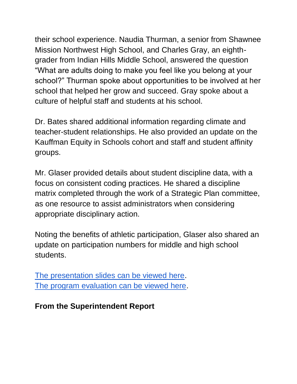their school experience. Naudia Thurman, a senior from Shawnee Mission Northwest High School, and Charles Gray, an eighthgrader from Indian Hills Middle School, answered the question "What are adults doing to make you feel like you belong at your school?" Thurman spoke about opportunities to be involved at her school that helped her grow and succeed. Gray spoke about a culture of helpful staff and students at his school.

Dr. Bates shared additional information regarding climate and teacher-student relationships. He also provided an update on the Kauffman Equity in Schools cohort and staff and student affinity groups.

Mr. Glaser provided details about student discipline data, with a focus on consistent coding practices. He shared a discipline matrix completed through the work of a Strategic Plan committee, as one resource to assist administrators when considering appropriate disciplinary action.

Noting the benefits of athletic participation, Glaser also shared an update on participation numbers for middle and high school students.

[The presentation slides can be viewed here.](https://go.boarddocs.com/ks/smsd/Board.nsf/files/C6TU4W77B3A6/$file/9.13.21%20Student%20%26%20Family%20Services%20Presentation.pdf) [The program evaluation can be viewed here.](https://go.boarddocs.com/ks/smsd/Board.nsf/files/C6QR5Y6A2C8F/$file/9.13.21%20Student%20%26%20Family%20Services%20Program%20UpdateFIN.pdf)

**From the Superintendent Report**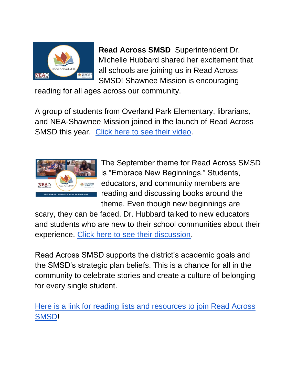

**Read Across SMSD** Superintendent Dr. Michelle Hubbard shared her excitement that all schools are joining us in Read Across SMSD! Shawnee Mission is encouraging

reading for all ages across our community.

A group of students from Overland Park Elementary, librarians, and NEA-Shawnee Mission joined in the launch of Read Across SMSD this year. [Click here to see their video.](https://youtu.be/Vho53U496Oc)



The September theme for Read Across SMSD is "Embrace New Beginnings." Students, educators, and community members are reading and discussing books around the theme. Even though new beginnings are

scary, they can be faced. Dr. Hubbard talked to new educators and students who are new to their school communities about their experience. [Click here to see their discussion.](https://youtu.be/iprk7NFh8kE)

Read Across SMSD supports the district's academic goals and the SMSD's strategic plan beliefs. This is a chance for all in the community to celebrate stories and create a culture of belonging for every single student.

Here is a link for reading [lists and resources to join Read Across](https://www.smsd.org/about/read-across-smsd/september-2021-embrace-new-beginnings)  [SMSD!](https://www.smsd.org/about/read-across-smsd/september-2021-embrace-new-beginnings)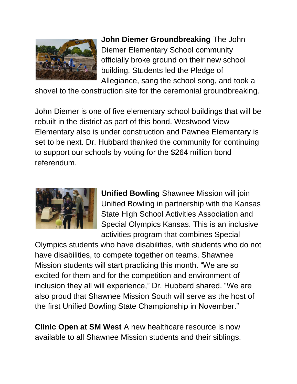

**John Diemer Groundbreaking** The John Diemer Elementary School community officially broke ground on their new school building. Students led the Pledge of Allegiance, sang the school song, and took a

shovel to the construction site for the ceremonial groundbreaking.

John Diemer is one of five elementary school buildings that will be rebuilt in the district as part of this bond. Westwood View Elementary also is under construction and Pawnee Elementary is set to be next. Dr. Hubbard thanked the community for continuing to support our schools by voting for the \$264 million bond referendum.



**Unified Bowling** Shawnee Mission will join Unified Bowling in partnership with the Kansas State High School Activities Association and Special Olympics Kansas. This is an inclusive activities program that combines Special

Olympics students who have disabilities, with students who do not have disabilities, to compete together on teams. Shawnee Mission students will start practicing this month. "We are so excited for them and for the competition and environment of inclusion they all will experience," Dr. Hubbard shared. "We are also proud that Shawnee Mission South will serve as the host of the first Unified Bowling State Championship in November."

**Clinic Open at SM West A new healthcare resource is now** available to all Shawnee Mission students and their siblings.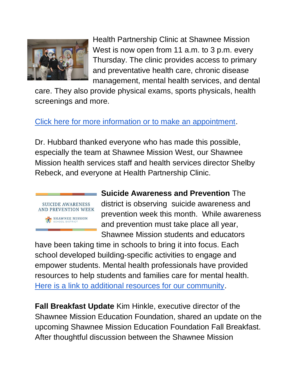

Health Partnership Clinic at Shawnee Mission West is now open from 11 a.m. to 3 p.m. every Thursday. The clinic provides access to primary and preventative health care, chronic disease management, mental health services, and dental

care. They also provide physical exams, sports physicals, health screenings and more.

## [Click here for more information or to make an appointment.](https://hpcks.org/school-based-clinic-at-shawnee-mission-west/)

Dr. Hubbard thanked everyone who has made this possible, especially the team at Shawnee Mission West, our Shawnee Mission health services staff and health services director Shelby Rebeck, and everyone at Health Partnership Clinic.



**Suicide Awareness and Prevention** The district is observing suicide awareness and prevention week this month. While awareness and prevention must take place all year, Shawnee Mission students and educators

have been taking time in schools to bring it into focus. Each school developed building-specific activities to engage and empower students. Mental health professionals have provided resources to help students and families care for mental health. [Here is a link to additional resources for our community.](https://www.smsd.org/about/news-archives/news-archive-details/~board/2021-2022-district-news/post/suicide-awareness-and-prevention-week-2021)

**Fall Breakfast Update** Kim Hinkle, executive director of the Shawnee Mission Education Foundation, shared an update on the upcoming Shawnee Mission Education Foundation Fall Breakfast. After thoughtful discussion between the Shawnee Mission